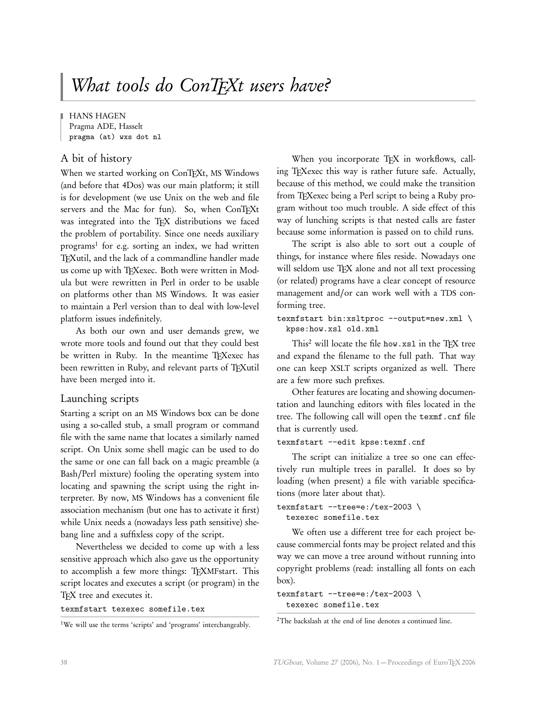**HANS HAGEN** Pragma ADE, Hasselt pragma (at) wxs dot nl

# A bit of history

When we started working on ConTEXt, MS Windows (and before that 4Dos) was our main platform; it still is for development (we use Unix on the web and file servers and the Mac for fun). So, when ConTFXt was integrated into the TFX distributions we faced the problem of portability. Since one needs auxiliary programs<sup>1</sup> for e.g. sorting an index, we had written TEXutil, and the lack of a commandline handler made us come up with TFXexec. Both were written in Modula but were rewritten in Perl in order to be usable on platforms other than MS Windows. It was easier to maintain a Perl version than to deal with low-level platform issues indefinitely.

As both our own and user demands grew, we wrote more tools and found out that they could best be written in Ruby. In the meantime TEXexec has been rewritten in Ruby, and relevant parts of TEXutil have been merged into it.

# Launching scripts

Starting a script on an MS Windows box can be done using a so-called stub, a small program or command file with the same name that locates a similarly named script. On Unix some shell magic can be used to do the same or one can fall back on a magic preamble (a Bash/Perl mixture) fooling the operating system into locating and spawning the script using the right interpreter. By now, MS Windows has a convenient file association mechanism (but one has to activate it first) while Unix needs a (nowadays less path sensitive) shebang line and a suffixless copy of the script.

Nevertheless we decided to come up with a less sensitive approach which also gave us the opportunity to accomplish a few more things: TEXMFstart. This script locates and executes a script (or program) in the TEX tree and executes it.

texmfstart texexec somefile.tex

<sup>1</sup>We will use the terms 'scripts' and 'programs' interchangeably.

When you incorporate TEX in workflows, calling TEXexec this way is rather future safe. Actually, because of this method, we could make the transition from TEXexec being a Perl script to being a Ruby program without too much trouble. A side effect of this way of lunching scripts is that nested calls are faster because some information is passed on to child runs.

The script is also able to sort out a couple of things, for instance where files reside. Nowadays one will seldom use TEX alone and not all text processing (or related) programs have a clear concept of resource management and/or can work well with a TDS conforming tree.

```
texmfstart bin:xsltproc --output=new.xml \
  kpse:how.xsl old.xml
```
This<sup>2</sup> will locate the file how.xs1 in the TFX tree and expand the filename to the full path. That way one can keep XSLT scripts organized as well. There are a few more such prefixes.

Other features are locating and showing documentation and launching editors with files located in the tree. The following call will open the texmf.cnf file that is currently used.

```
texmfstart --edit kpse:texmf.cnf
```
The script can initialize a tree so one can effectively run multiple trees in parallel. It does so by loading (when present) a file with variable specifications (more later about that).

```
texmfstart --tree=e:/tex-2003 \
  texexec somefile.tex
```
We often use a different tree for each project because commercial fonts may be project related and this way we can move a tree around without running into copyright problems (read: installing all fonts on each box).

```
texmfstart --tree=e:/tex-2003 \
  texexec somefile.tex
```

```
2The backslash at the end of line denotes a continued line.
```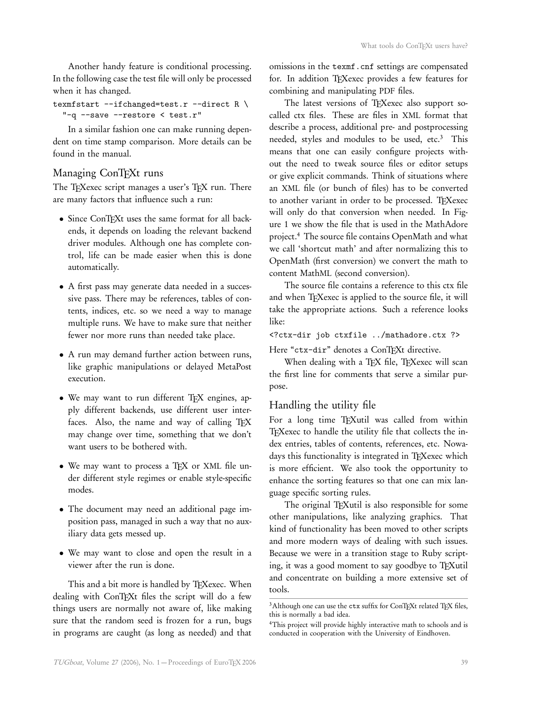Another handy feature is conditional processing. In the following case the test file will only be processed when it has changed.

```
texmfstart -ifchanged=test.r --direct R \
  "-q --save --restore < test.r"
```
In a similar fashion one can make running dependent on time stamp comparison. More details can be found in the manual.

## Managing ConTFXt runs

The TFXexec script manages a user's TEX run. There are many factors that influence such a run:

- Since ConTFXt uses the same format for all backends, it depends on loading the relevant backend driver modules. Although one has complete control, life can be made easier when this is done automatically.
- A first pass may generate data needed in a successive pass. There may be references, tables of contents, indices, etc. so we need a way to manage multiple runs. We have to make sure that neither fewer nor more runs than needed take place.
- A run may demand further action between runs, like graphic manipulations or delayed MetaPost execution.
- We may want to run different TFX engines, apply different backends, use different user interfaces. Also, the name and way of calling TFX may change over time, something that we don't want users to be bothered with.
- We may want to process a TFX or XML file under different style regimes or enable style-specific modes.
- The document may need an additional page imposition pass, managed in such a way that no auxiliary data gets messed up.
- We may want to close and open the result in a viewer after the run is done.

This and a bit more is handled by TFXexec. When dealing with ConTEXt files the script will do a few things users are normally not aware of, like making sure that the random seed is frozen for a run, bugs in programs are caught (as long as needed) and that omissions in the texmf.cnf settings are compensated for. In addition TFXexec provides a few features for combining and manipulating PDF files.

The latest versions of TEXexec also support socalled ctx files. These are files in XML format that describe a process, additional pre- and postprocessing needed, styles and modules to be used, etc.<sup>3</sup> This means that one can easily configure projects without the need to tweak source files or editor setups or give explicit commands. Think of situations where an XML file (or bunch of files) has to be converted to another variant in order to be processed. TEXexec will only do that conversion when needed. In Figure 1 we show the file that is used in the MathAdore project.<sup>4</sup> The source file contains OpenMath and what we call 'shortcut math' and after normalizing this to OpenMath (first conversion) we convert the math to content MathML (second conversion).

The source file contains a reference to this ctx file and when TEXexec is applied to the source file, it will take the appropriate actions. Such a reference looks like:

```
<?ctx-dir job ctxfile ../mathadore.ctx ?>
```

```
Here "ctx-dir" denotes a ConTFXt directive.
```
When dealing with a TEX file, TEXexec will scan the first line for comments that serve a similar purpose.

## Handling the utility file

For a long time TEXutil was called from within TEXexec to handle the utility file that collects the index entries, tables of contents, references, etc. Nowadays this functionality is integrated in TEXexec which is more efficient. We also took the opportunity to enhance the sorting features so that one can mix language specific sorting rules.

The original TFXutil is also responsible for some other manipulations, like analyzing graphics. That kind of functionality has been moved to other scripts and more modern ways of dealing with such issues. Because we were in a transition stage to Ruby scripting, it was a good moment to say goodbye to TFXutil and concentrate on building a more extensive set of tools.

 $^3\rm{Although}$  one can use the  $\tt{ctx}$  suffix for ConTEXt related TEX files, this is normally a bad idea.

<sup>4</sup>This project will provide highly interactive math to schools and is conducted in cooperation with the University of Eindhoven.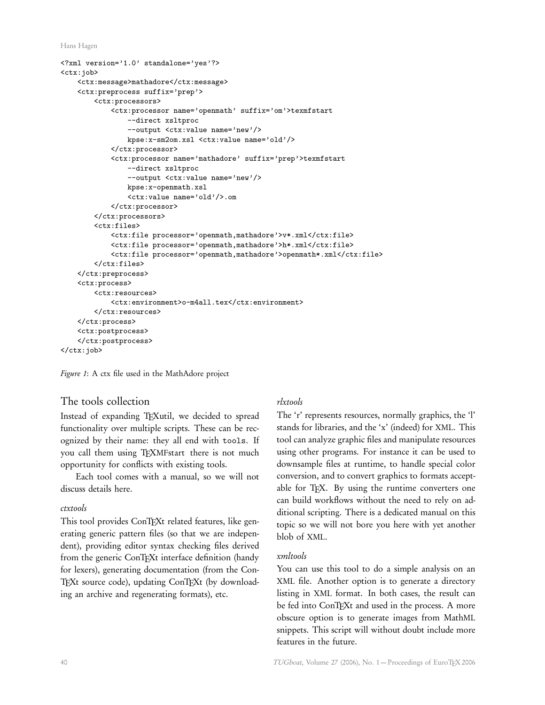Hans Hagen

```
<?xml version='1.0' standalone='yes'?>
<ctx:job>
    <ctx:message>mathadore</ctx:message>
    <ctx:preprocess suffix='prep'>
        <ctx:processors>
            <ctx:processor name='openmath' suffix='om'>texmfstart
                --direct xsltproc
                --output <ctx:value name='new'/>
                kpse:x-sm2om.xsl <ctx:value name='old'/>
            </ctx:processor>
            <ctx:processor name='mathadore' suffix='prep'>texmfstart
                --direct xsltproc
                --output <ctx:value name='new'/>
                kpse:x-openmath.xsl
                <ctx:value name='old'/>.om
            </ctx:processor>
        </ctx:processors>
        <ctx:files>
            <ctx:file processor='openmath,mathadore'>v*.xml</ctx:file>
            <ctx:file processor='openmath,mathadore'>h*.xml</ctx:file>
            <ctx:file processor='openmath,mathadore'>openmath*.xml</ctx:file>
       </ctx:files>
    </ctx:preprocess>
    <ctx:process>
       <ctx:resources>
            <ctx:environment>o-m4all.tex</ctx:environment>
        </ctx:resources>
    </ctx:process>
    <ctx:postprocess>
    </ctx:postprocess>
</ctx:job>
```
Figure 1: A ctx file used in the MathAdore project

## The tools collection

Instead of expanding TEXutil, we decided to spread functionality over multiple scripts. These can be recognized by their name: they all end with tools. If you call them using TEXMFstart there is not much opportunity for conflicts with existing tools.

Each tool comes with a manual, so we will not discuss details here.

### ctxtools

This tool provides ConTFXt related features, like generating generic pattern files (so that we are independent), providing editor syntax checking files derived from the generic ConTEXt interface definition (handy for lexers), generating documentation (from the Con-TEXt source code), updating ConTEXt (by downloading an archive and regenerating formats), etc.

## rlxtools

The 'r' represents resources, normally graphics, the 'l' stands for libraries, and the 'x' (indeed) for XML. This tool can analyze graphic files and manipulate resources using other programs. For instance it can be used to downsample files at runtime, to handle special color conversion, and to convert graphics to formats acceptable for TFX. By using the runtime converters one can build workflows without the need to rely on additional scripting. There is a dedicated manual on this topic so we will not bore you here with yet another blob of XML.

## xmltools

You can use this tool to do a simple analysis on an XML file. Another option is to generate a directory listing in XML format. In both cases, the result can be fed into ConTEXt and used in the process. A more obscure option is to generate images from MathML snippets. This script will without doubt include more features in the future.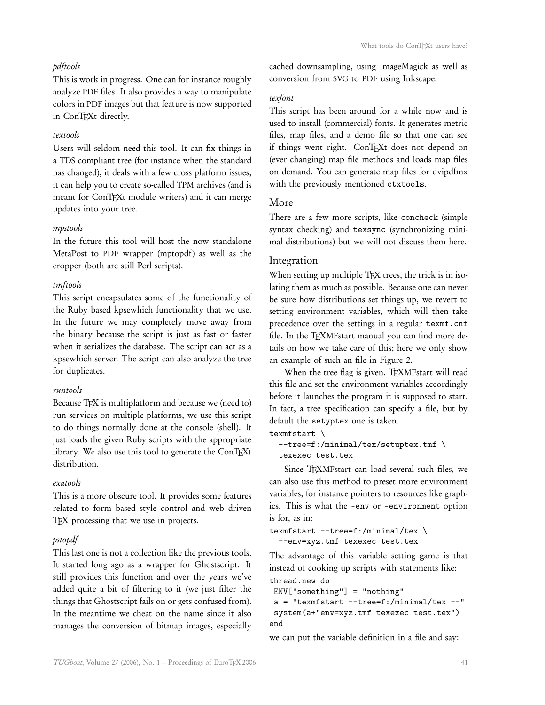## pdftools

This is work in progress. One can for instance roughly analyze PDF files. It also provides a way to manipulate colors in PDF images but that feature is now supported in ConTFXt directly.

#### textools

Users will seldom need this tool. It can fix things in a TDS compliant tree (for instance when the standard has changed), it deals with a few cross platform issues, it can help you to create so-called TPM archives (and is meant for ConTFXt module writers) and it can merge updates into your tree.

#### mpstools

In the future this tool will host the now standalone MetaPost to PDF wrapper (mptopdf) as well as the cropper (both are still Perl scripts).

## tmftools

This script encapsulates some of the functionality of the Ruby based kpsewhich functionality that we use. In the future we may completely move away from the binary because the script is just as fast or faster when it serializes the database. The script can act as a kpsewhich server. The script can also analyze the tree for duplicates.

#### runtools

Because TFX is multiplatform and because we (need to) run services on multiple platforms, we use this script to do things normally done at the console (shell). It just loads the given Ruby scripts with the appropriate library. We also use this tool to generate the ConTFXt distribution.

#### exatools

This is a more obscure tool. It provides some features related to form based style control and web driven TEX processing that we use in projects.

#### pstopdf

This last one is not a collection like the previous tools. It started long ago as a wrapper for Ghostscript. It still provides this function and over the years we've added quite a bit of filtering to it (we just filter the things that Ghostscript fails on or gets confused from). In the meantime we cheat on the name since it also manages the conversion of bitmap images, especially

cached downsampling, using ImageMagick as well as conversion from SVG to PDF using Inkscape.

## texfont

This script has been around for a while now and is used to install (commercial) fonts. It generates metric files, map files, and a demo file so that one can see if things went right. ConTEXt does not depend on (ever changing) map file methods and loads map files on demand. You can generate map files for dvipdfmx with the previously mentioned ctxtools.

### More

There are a few more scripts, like concheck (simple syntax checking) and texsync (synchronizing minimal distributions) but we will not discuss them here.

## Integration

When setting up multiple TFX trees, the trick is in isolating them as much as possible. Because one can never be sure how distributions set things up, we revert to setting environment variables, which will then take precedence over the settings in a regular texmf.cnf file. In the TFXMFstart manual you can find more details on how we take care of this; here we only show an example of such an file in Figure 2.

When the tree flag is given, TEXMFstart will read this file and set the environment variables accordingly before it launches the program it is supposed to start. In fact, a tree specification can specify a file, but by default the setyptex one is taken.

```
texmfstart \
```

```
--tree=f:/minimal/tex/setuptex.tmf \
texexec test.tex
```
Since TEXMFstart can load several such files, we can also use this method to preset more environment variables, for instance pointers to resources like graphics. This is what the –env or –environment option is for, as in:

```
texmfstart --tree=f:/minimal/tex \
  --env=xyz.tmf texexec test.tex
```
The advantage of this variable setting game is that instead of cooking up scripts with statements like: thread.new do

```
ENV["something"] = "nothing"
a = "textfstart --tree=f://minimal/tex --"
```
system(a+"env=xyz.tmf texexec test.tex") end

we can put the variable definition in a file and say: